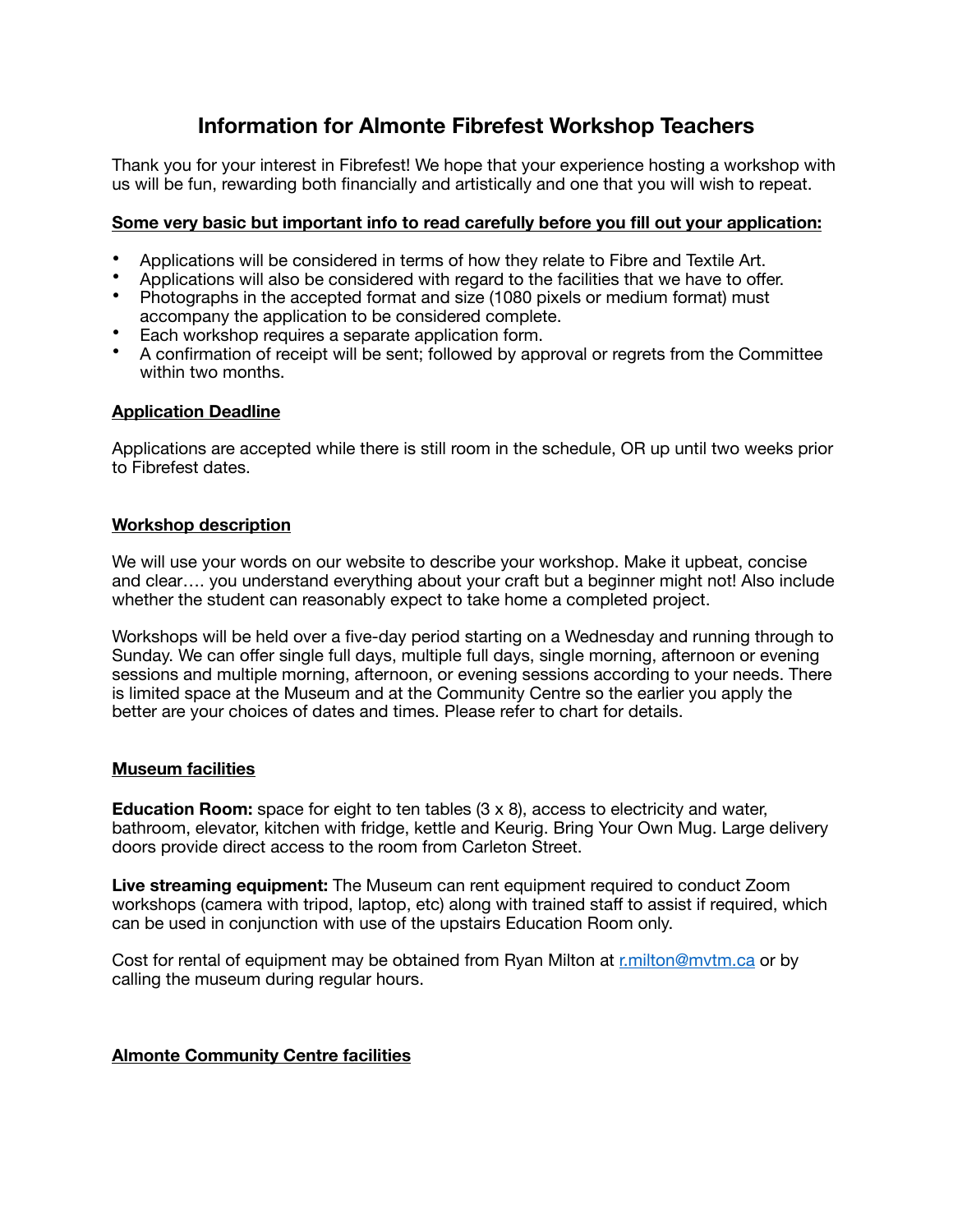# **Information for Almonte Fibrefest Workshop Teachers**

Thank you for your interest in Fibrefest! We hope that your experience hosting a workshop with us will be fun, rewarding both financially and artistically and one that you will wish to repeat.

## **Some very basic but important info to read carefully before you fill out your application:**

- Applications will be considered in terms of how they relate to Fibre and Textile Art.
- Applications will also be considered with regard to the facilities that we have to offer.
- Photographs in the accepted format and size (1080 pixels or medium format) must accompany the application to be considered complete.
- Each workshop requires a separate application form.
- A confirmation of receipt will be sent; followed by approval or regrets from the Committee within two months.

## **Application Deadline**

Applications are accepted while there is still room in the schedule, OR up until two weeks prior to Fibrefest dates.

## **Workshop description**

We will use your words on our website to describe your workshop. Make it upbeat, concise and clear…. you understand everything about your craft but a beginner might not! Also include whether the student can reasonably expect to take home a completed project.

Workshops will be held over a five-day period starting on a Wednesday and running through to Sunday. We can offer single full days, multiple full days, single morning, afternoon or evening sessions and multiple morning, afternoon, or evening sessions according to your needs. There is limited space at the Museum and at the Community Centre so the earlier you apply the better are your choices of dates and times. Please refer to chart for details.

## **Museum facilities**

**Education Room:** space for eight to ten tables (3 x 8), access to electricity and water, bathroom, elevator, kitchen with fridge, kettle and Keurig. Bring Your Own Mug. Large delivery doors provide direct access to the room from Carleton Street.

**Live streaming equipment:** The Museum can rent equipment required to conduct Zoom workshops (camera with tripod, laptop, etc) along with trained staff to assist if required, which can be used in conjunction with use of the upstairs Education Room only.

Cost for rental of equipment may be obtained from Ryan Milton at [r.milton@mvtm.ca](mailto:r.milton@mvtm.ca) or by calling the museum during regular hours.

## **Almonte Community Centre facilities**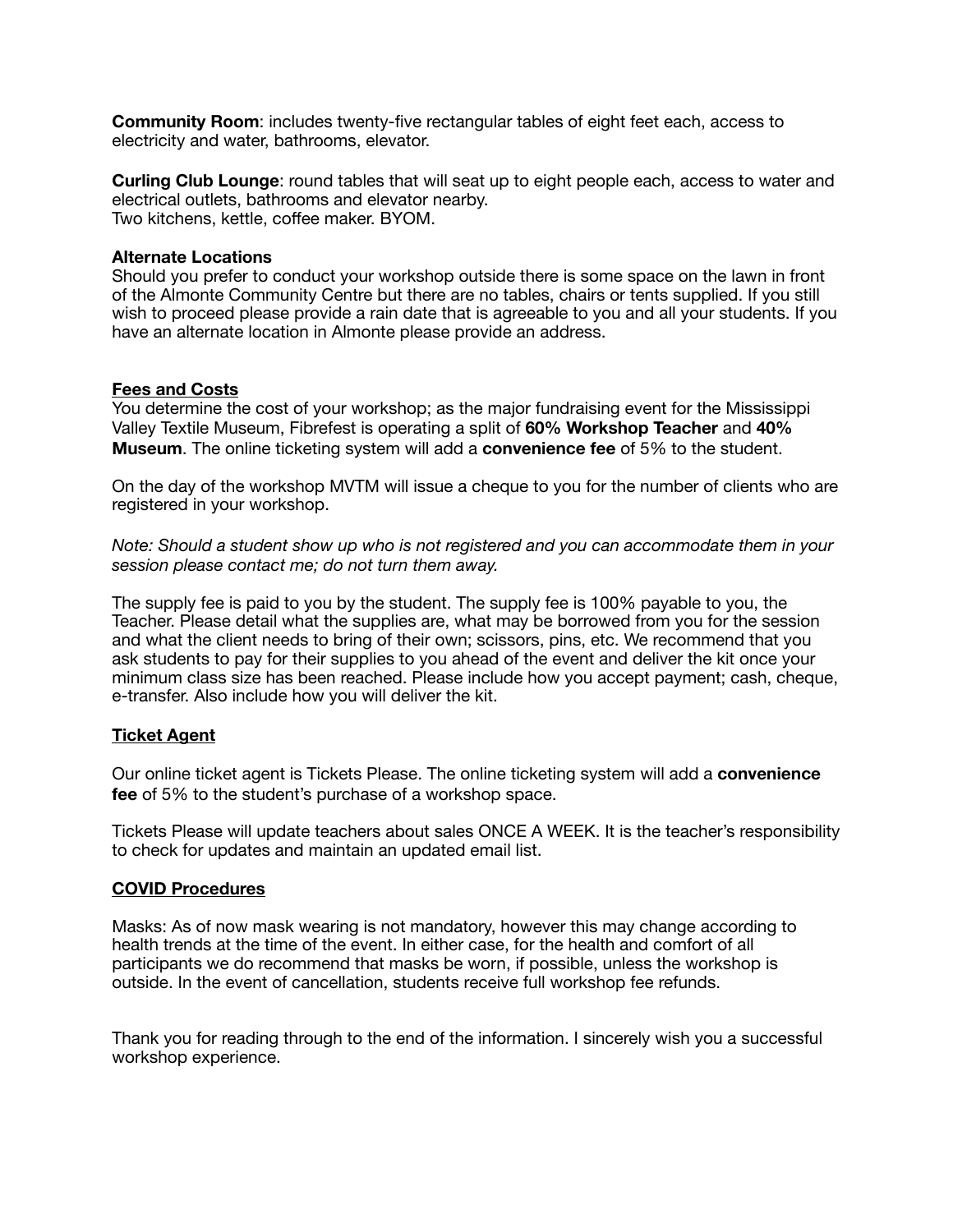**Community Room**: includes twenty-five rectangular tables of eight feet each, access to electricity and water, bathrooms, elevator.

**Curling Club Lounge**: round tables that will seat up to eight people each, access to water and electrical outlets, bathrooms and elevator nearby. Two kitchens, kettle, coffee maker. BYOM.

#### **Alternate Locations**

Should you prefer to conduct your workshop outside there is some space on the lawn in front of the Almonte Community Centre but there are no tables, chairs or tents supplied. If you still wish to proceed please provide a rain date that is agreeable to you and all your students. If you have an alternate location in Almonte please provide an address.

#### **Fees and Costs**

You determine the cost of your workshop; as the major fundraising event for the Mississippi Valley Textile Museum, Fibrefest is operating a split of **60% Workshop Teacher** and **40% Museum**. The online ticketing system will add a **convenience fee** of 5% to the student.

On the day of the workshop MVTM will issue a cheque to you for the number of clients who are registered in your workshop.

*Note: Should a student show up who is not registered and you can accommodate them in your session please contact me; do not turn them away.* 

The supply fee is paid to you by the student. The supply fee is 100% payable to you, the Teacher. Please detail what the supplies are, what may be borrowed from you for the session and what the client needs to bring of their own; scissors, pins, etc. We recommend that you ask students to pay for their supplies to you ahead of the event and deliver the kit once your minimum class size has been reached. Please include how you accept payment; cash, cheque, e-transfer. Also include how you will deliver the kit.

## **Ticket Agent**

Our online ticket agent is Tickets Please. The online ticketing system will add a **convenience fee** of 5% to the student's purchase of a workshop space.

Tickets Please will update teachers about sales ONCE A WEEK. It is the teacher's responsibility to check for updates and maintain an updated email list.

## **COVID Procedures**

Masks: As of now mask wearing is not mandatory, however this may change according to health trends at the time of the event. In either case, for the health and comfort of all participants we do recommend that masks be worn, if possible, unless the workshop is outside. In the event of cancellation, students receive full workshop fee refunds.

Thank you for reading through to the end of the information. I sincerely wish you a successful workshop experience.